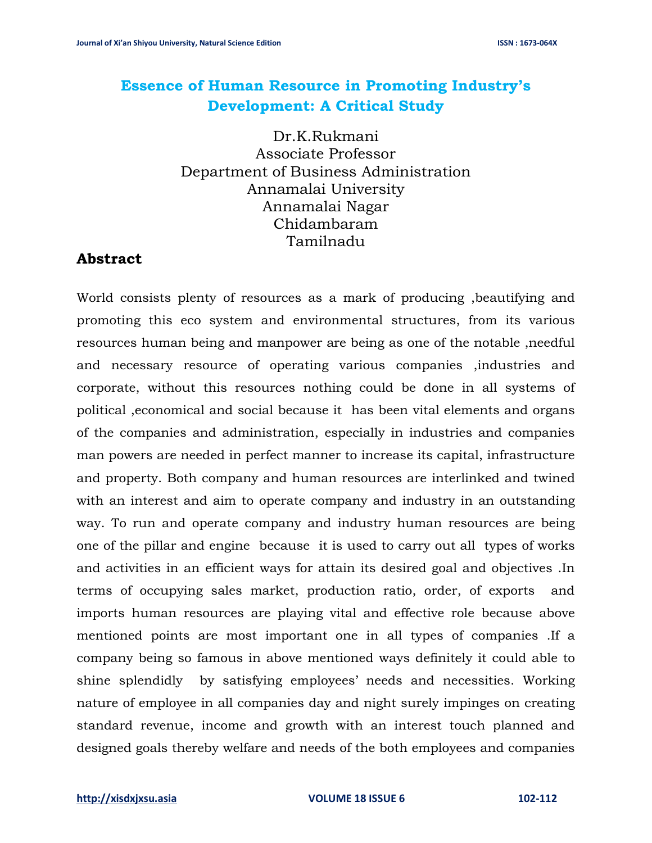# **Essence of Human Resource in Promoting Industry's Development: A Critical Study**

Dr.K.Rukmani Associate Professor Department of Business Administration Annamalai University Annamalai Nagar Chidambaram Tamilnadu

# **Abstract**

World consists plenty of resources as a mark of producing ,beautifying and promoting this eco system and environmental structures, from its various resources human being and manpower are being as one of the notable ,needful and necessary resource of operating various companies ,industries and corporate, without this resources nothing could be done in all systems of political ,economical and social because it has been vital elements and organs of the companies and administration, especially in industries and companies man powers are needed in perfect manner to increase its capital, infrastructure and property. Both company and human resources are interlinked and twined with an interest and aim to operate company and industry in an outstanding way. To run and operate company and industry human resources are being one of the pillar and engine because it is used to carry out all types of works and activities in an efficient ways for attain its desired goal and objectives .In terms of occupying sales market, production ratio, order, of exports and imports human resources are playing vital and effective role because above mentioned points are most important one in all types of companies .If a company being so famous in above mentioned ways definitely it could able to shine splendidly by satisfying employees' needs and necessities. Working nature of employee in all companies day and night surely impinges on creating standard revenue, income and growth with an interest touch planned and designed goals thereby welfare and needs of the both employees and companies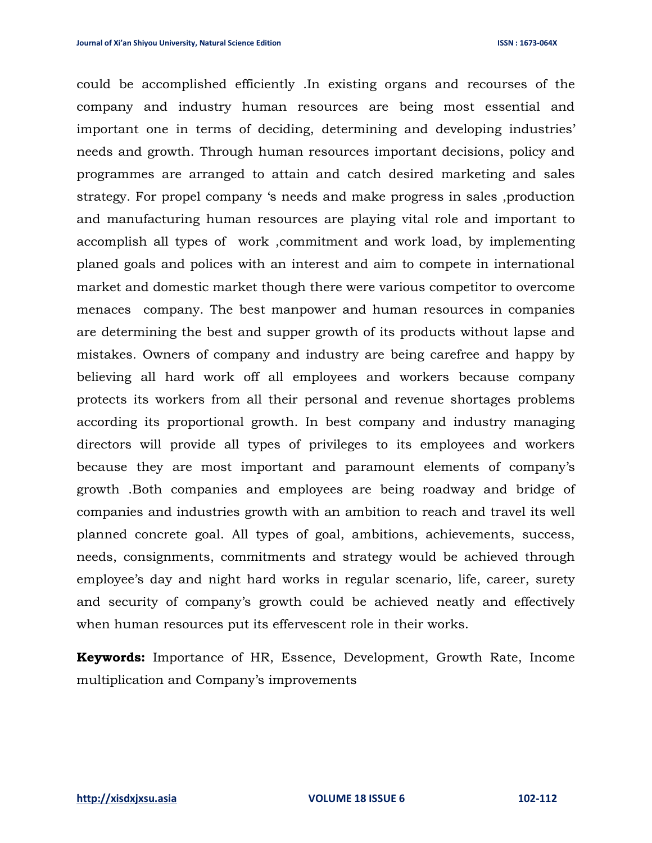could be accomplished efficiently .In existing organs and recourses of the company and industry human resources are being most essential and important one in terms of deciding, determining and developing industries' needs and growth. Through human resources important decisions, policy and programmes are arranged to attain and catch desired marketing and sales strategy. For propel company 's needs and make progress in sales ,production and manufacturing human resources are playing vital role and important to accomplish all types of work ,commitment and work load, by implementing planed goals and polices with an interest and aim to compete in international market and domestic market though there were various competitor to overcome menaces company. The best manpower and human resources in companies are determining the best and supper growth of its products without lapse and mistakes. Owners of company and industry are being carefree and happy by believing all hard work off all employees and workers because company protects its workers from all their personal and revenue shortages problems according its proportional growth. In best company and industry managing directors will provide all types of privileges to its employees and workers because they are most important and paramount elements of company's growth .Both companies and employees are being roadway and bridge of companies and industries growth with an ambition to reach and travel its well planned concrete goal. All types of goal, ambitions, achievements, success, needs, consignments, commitments and strategy would be achieved through employee's day and night hard works in regular scenario, life, career, surety and security of company's growth could be achieved neatly and effectively when human resources put its effervescent role in their works.

**Keywords:** Importance of HR, Essence, Development, Growth Rate, Income multiplication and Company's improvements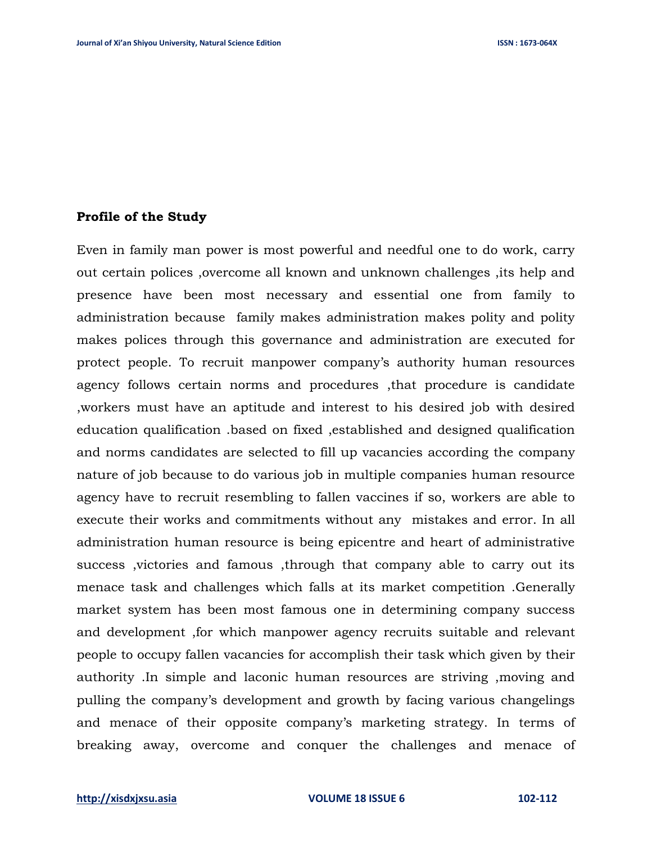### **Profile of the Study**

Even in family man power is most powerful and needful one to do work, carry out certain polices ,overcome all known and unknown challenges ,its help and presence have been most necessary and essential one from family to administration because family makes administration makes polity and polity makes polices through this governance and administration are executed for protect people. To recruit manpower company's authority human resources agency follows certain norms and procedures ,that procedure is candidate ,workers must have an aptitude and interest to his desired job with desired education qualification .based on fixed ,established and designed qualification and norms candidates are selected to fill up vacancies according the company nature of job because to do various job in multiple companies human resource agency have to recruit resembling to fallen vaccines if so, workers are able to execute their works and commitments without any mistakes and error. In all administration human resource is being epicentre and heart of administrative success ,victories and famous ,through that company able to carry out its menace task and challenges which falls at its market competition .Generally market system has been most famous one in determining company success and development ,for which manpower agency recruits suitable and relevant people to occupy fallen vacancies for accomplish their task which given by their authority .In simple and laconic human resources are striving ,moving and pulling the company's development and growth by facing various changelings and menace of their opposite company's marketing strategy. In terms of breaking away, overcome and conquer the challenges and menace of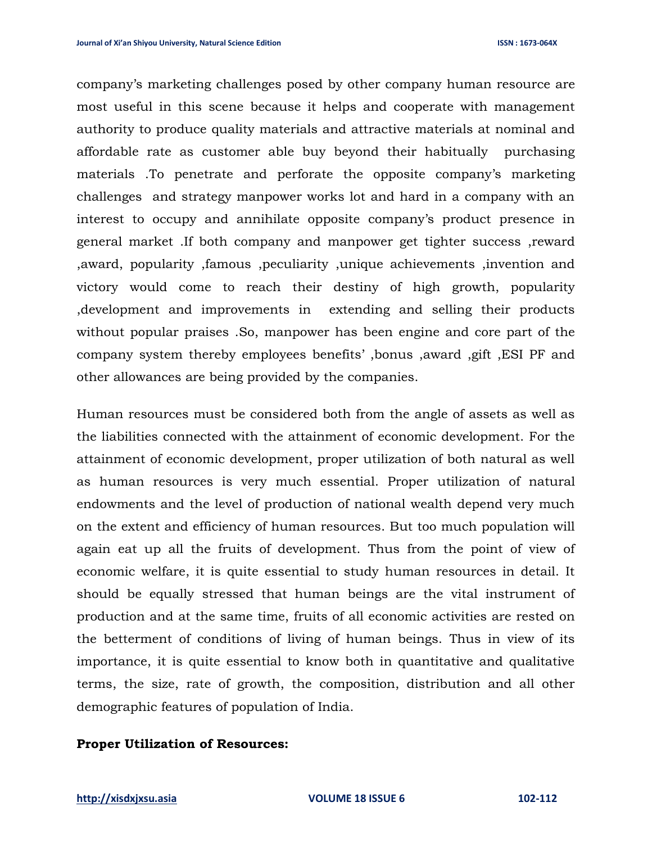company's marketing challenges posed by other company human resource are most useful in this scene because it helps and cooperate with management authority to produce quality materials and attractive materials at nominal and affordable rate as customer able buy beyond their habitually purchasing materials .To penetrate and perforate the opposite company's marketing challenges and strategy manpower works lot and hard in a company with an interest to occupy and annihilate opposite company's product presence in general market .If both company and manpower get tighter success ,reward ,award, popularity ,famous ,peculiarity ,unique achievements ,invention and victory would come to reach their destiny of high growth, popularity ,development and improvements in extending and selling their products without popular praises .So, manpower has been engine and core part of the company system thereby employees benefits' ,bonus ,award ,gift ,ESI PF and other allowances are being provided by the companies.

Human resources must be considered both from the angle of assets as well as the liabilities connected with the attainment of economic development. For the attainment of economic development, proper utilization of both natural as well as human resources is very much essential. Proper utilization of natural endowments and the level of production of national wealth depend very much on the extent and efficiency of human resources. But too much population will again eat up all the fruits of development. Thus from the point of view of economic welfare, it is quite essential to study human resources in detail. It should be equally stressed that human beings are the vital instrument of production and at the same time, fruits of all economic activities are rested on the betterment of conditions of living of human beings. Thus in view of its importance, it is quite essential to know both in quantitative and qualitative terms, the size, rate of growth, the composition, distribution and all other demographic features of population of India.

#### **Proper Utilization of Resources:**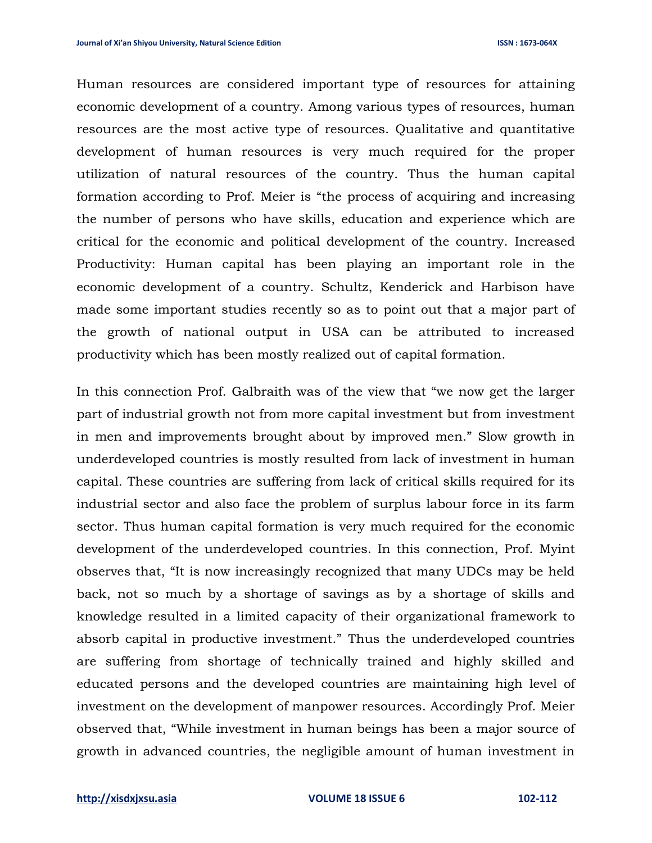Human resources are considered important type of resources for attaining economic development of a country. Among various types of resources, human resources are the most active type of resources. Qualitative and quantitative development of human resources is very much required for the proper utilization of natural resources of the country. Thus the human capital formation according to Prof. Meier is "the process of acquiring and increasing the number of persons who have skills, education and experience which are critical for the economic and political development of the country. Increased Productivity: Human capital has been playing an important role in the economic development of a country. Schultz, Kenderick and Harbison have made some important studies recently so as to point out that a major part of the growth of national output in USA can be attributed to increased productivity which has been mostly realized out of capital formation.

In this connection Prof. Galbraith was of the view that "we now get the larger part of industrial growth not from more capital investment but from investment in men and improvements brought about by improved men." Slow growth in underdeveloped countries is mostly resulted from lack of investment in human capital. These countries are suffering from lack of critical skills required for its industrial sector and also face the problem of surplus labour force in its farm sector. Thus human capital formation is very much required for the economic development of the underdeveloped countries. In this connection, Prof. Myint observes that, "It is now increasingly recognized that many UDCs may be held back, not so much by a shortage of savings as by a shortage of skills and knowledge resulted in a limited capacity of their organizational framework to absorb capital in productive investment." Thus the underdeveloped countries are suffering from shortage of technically trained and highly skilled and educated persons and the developed countries are maintaining high level of investment on the development of manpower resources. Accordingly Prof. Meier observed that, "While investment in human beings has been a major source of growth in advanced countries, the negligible amount of human investment in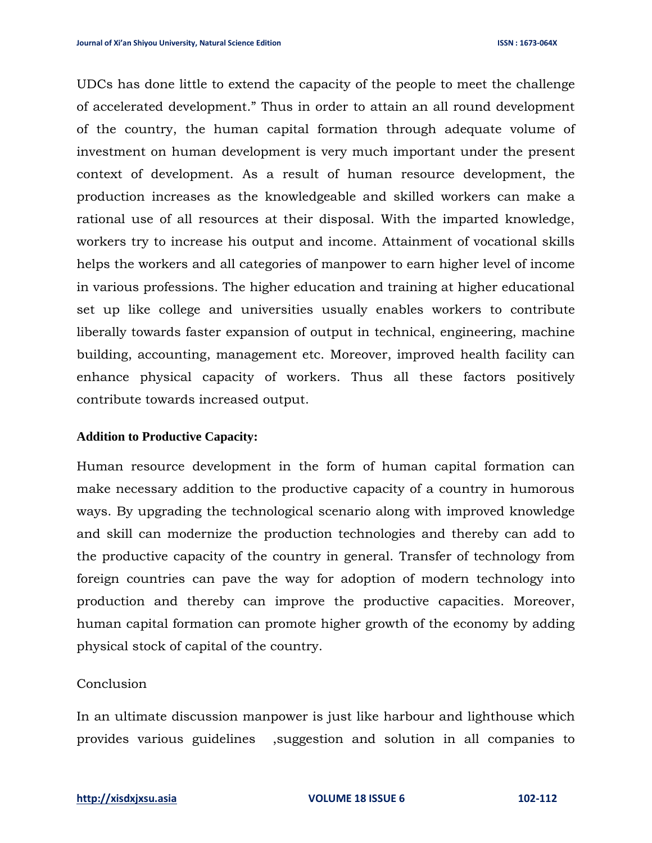UDCs has done little to extend the capacity of the people to meet the challenge of accelerated development." Thus in order to attain an all round development of the country, the human capital formation through adequate volume of investment on human development is very much important under the present context of development. As a result of human resource development, the production increases as the knowledgeable and skilled workers can make a rational use of all resources at their disposal. With the imparted knowledge, workers try to increase his output and income. Attainment of vocational skills helps the workers and all categories of manpower to earn higher level of income in various professions. The higher education and training at higher educational set up like college and universities usually enables workers to contribute liberally towards faster expansion of output in technical, engineering, machine building, accounting, management etc. Moreover, improved health facility can enhance physical capacity of workers. Thus all these factors positively contribute towards increased output.

#### **Addition to Productive Capacity:**

Human resource development in the form of human capital formation can make necessary addition to the productive capacity of a country in humorous ways. By upgrading the technological scenario along with improved knowledge and skill can modernize the production technologies and thereby can add to the productive capacity of the country in general. Transfer of technology from foreign countries can pave the way for adoption of modern technology into production and thereby can improve the productive capacities. Moreover, human capital formation can promote higher growth of the economy by adding physical stock of capital of the country.

#### Conclusion

In an ultimate discussion manpower is just like harbour and lighthouse which provides various guidelines ,suggestion and solution in all companies to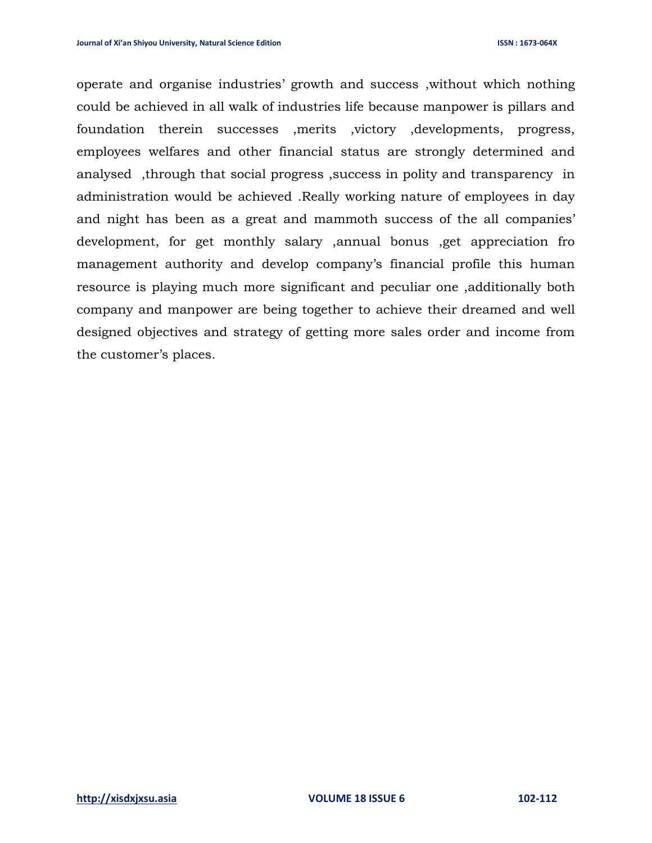operate and organise industries' growth and success ,without which nothing could be achieved in all walk of industries life because manpower is pillars and foundation therein successes ,merits ,victory ,developments, progress, employees welfares and other financial status are strongly determined and analysed ,through that social progress ,success in polity and transparency in administration would be achieved .Really working nature of employees in day and night has been as a great and mammoth success of the all companies' development, for get monthly salary ,annual bonus ,get appreciation fro management authority and develop company's financial profile this human resource is playing much more significant and peculiar one ,additionally both company and manpower are being together to achieve their dreamed and well designed objectives and strategy of getting more sales order and income from the customer's places.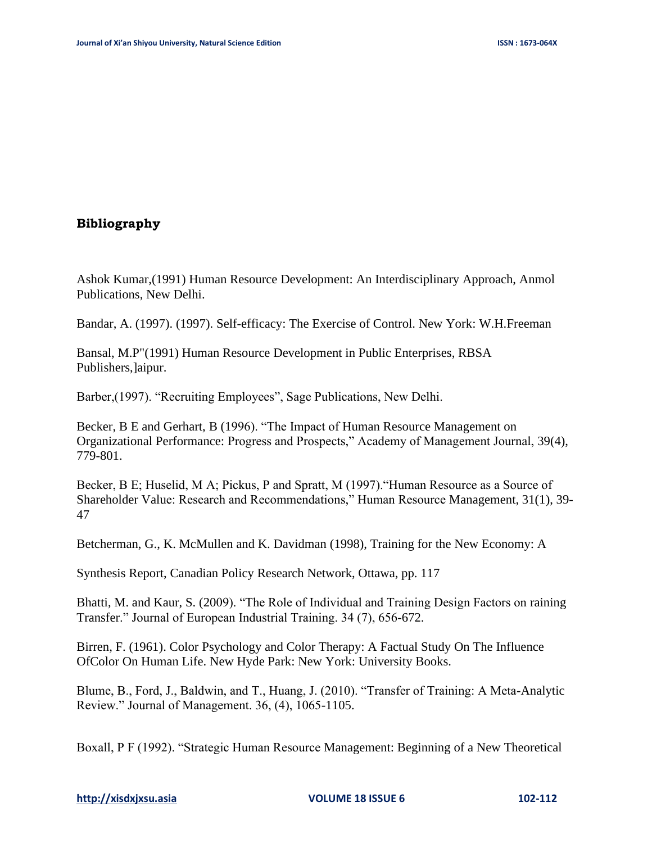## **Bibliography**

Ashok Kumar,(1991) Human Resource Development: An Interdisciplinary Approach, Anmol Publications, New Delhi.

Bandar, A. (1997). (1997). Self-efficacy: The Exercise of Control. New York: W.H.Freeman

Bansal, M.P"(1991) Human Resource Development in Public Enterprises, RBSA Publishers,]aipur.

Barber,(1997). "Recruiting Employees", Sage Publications, New Delhi.

Becker, B E and Gerhart, B (1996). "The Impact of Human Resource Management on Organizational Performance: Progress and Prospects," Academy of Management Journal, 39(4), 779-801.

Becker, B E; Huselid, M A; Pickus, P and Spratt, M (1997)."Human Resource as a Source of Shareholder Value: Research and Recommendations," Human Resource Management, 31(1), 39- 47

Betcherman, G., K. McMullen and K. Davidman (1998), Training for the New Economy: A

Synthesis Report, Canadian Policy Research Network, Ottawa, pp. 117

Bhatti, M. and Kaur, S. (2009). "The Role of Individual and Training Design Factors on raining Transfer." Journal of European Industrial Training. 34 (7), 656-672.

Birren, F. (1961). Color Psychology and Color Therapy: A Factual Study On The Influence OfColor On Human Life. New Hyde Park: New York: University Books.

Blume, B., Ford, J., Baldwin, and T., Huang, J. (2010). "Transfer of Training: A Meta-Analytic Review." Journal of Management. 36, (4), 1065-1105.

Boxall, P F (1992). "Strategic Human Resource Management: Beginning of a New Theoretical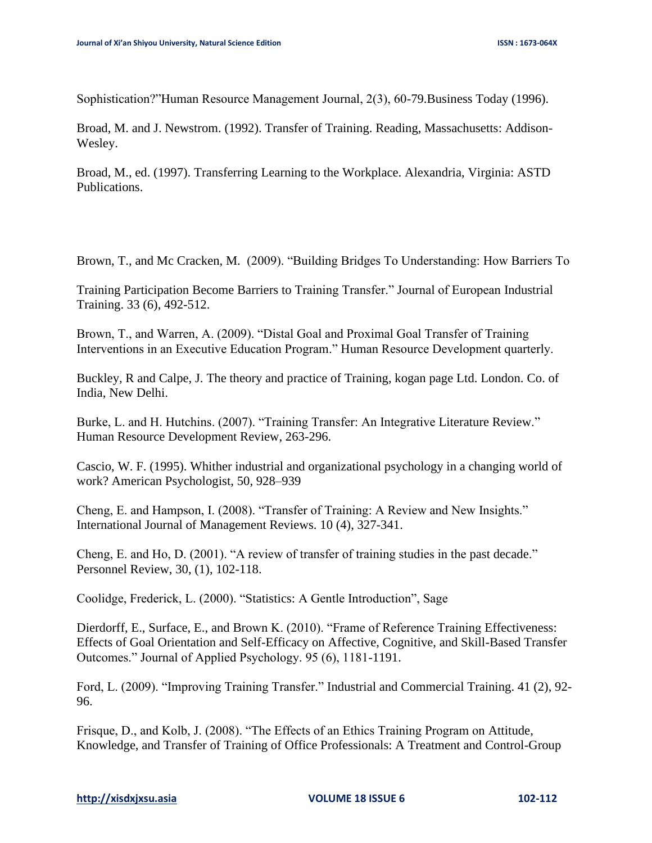Sophistication?"Human Resource Management Journal, 2(3), 60-79.Business Today (1996).

Broad, M. and J. Newstrom. (1992). Transfer of Training. Reading, Massachusetts: Addison-Wesley.

Broad, M., ed. (1997). Transferring Learning to the Workplace. Alexandria, Virginia: ASTD Publications.

Brown, T., and Mc Cracken, M. (2009). "Building Bridges To Understanding: How Barriers To

Training Participation Become Barriers to Training Transfer." Journal of European Industrial Training. 33 (6), 492-512.

Brown, T., and Warren, A. (2009). "Distal Goal and Proximal Goal Transfer of Training Interventions in an Executive Education Program." Human Resource Development quarterly.

Buckley, R and Calpe, J. The theory and practice of Training, kogan page Ltd. London. Co. of India, New Delhi.

Burke, L. and H. Hutchins. (2007). "Training Transfer: An Integrative Literature Review." Human Resource Development Review, 263-296.

Cascio, W. F. (1995). Whither industrial and organizational psychology in a changing world of work? American Psychologist, 50, 928–939

Cheng, E. and Hampson, I. (2008). "Transfer of Training: A Review and New Insights." International Journal of Management Reviews. 10 (4), 327-341.

Cheng, E. and Ho, D. (2001). "A review of transfer of training studies in the past decade." Personnel Review, 30, (1), 102-118.

Coolidge, Frederick, L. (2000). "Statistics: A Gentle Introduction", Sage

Dierdorff, E., Surface, E., and Brown K. (2010). "Frame of Reference Training Effectiveness: Effects of Goal Orientation and Self-Efficacy on Affective, Cognitive, and Skill-Based Transfer Outcomes." Journal of Applied Psychology. 95 (6), 1181-1191.

Ford, L. (2009). "Improving Training Transfer." Industrial and Commercial Training. 41 (2), 92- 96.

Frisque, D., and Kolb, J. (2008). "The Effects of an Ethics Training Program on Attitude, Knowledge, and Transfer of Training of Office Professionals: A Treatment and Control-Group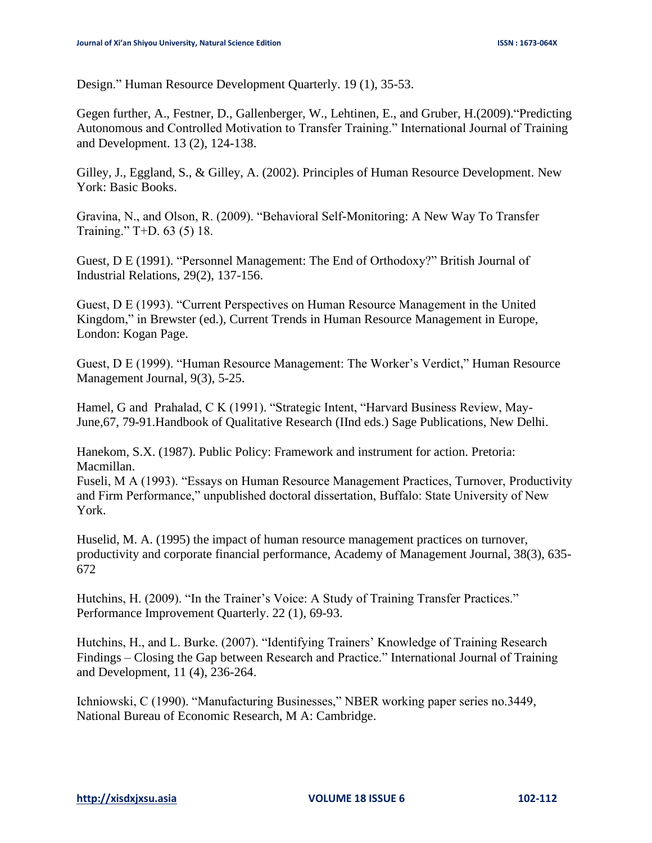Design." Human Resource Development Quarterly. 19 (1), 35-53.

Gegen further, A., Festner, D., Gallenberger, W., Lehtinen, E., and Gruber, H.(2009)."Predicting Autonomous and Controlled Motivation to Transfer Training." International Journal of Training and Development. 13 (2), 124-138.

Gilley, J., Eggland, S., & Gilley, A. (2002). Principles of Human Resource Development. New York: Basic Books.

Gravina, N., and Olson, R. (2009). "Behavioral Self-Monitoring: A New Way To Transfer Training." T+D. 63 (5) 18.

Guest, D E (1991). "Personnel Management: The End of Orthodoxy?" British Journal of Industrial Relations, 29(2), 137-156.

Guest, D E (1993). "Current Perspectives on Human Resource Management in the United Kingdom," in Brewster (ed.), Current Trends in Human Resource Management in Europe, London: Kogan Page.

Guest, D E (1999). "Human Resource Management: The Worker's Verdict," Human Resource Management Journal, 9(3), 5-25.

Hamel, G and Prahalad, C K (1991). "Strategic Intent, "Harvard Business Review, May-June,67, 79-91.Handbook of Qualitative Research (IInd eds.) Sage Publications, New Delhi.

Hanekom, S.X. (1987). Public Policy: Framework and instrument for action. Pretoria: Macmillan.

Fuseli, M A (1993). "Essays on Human Resource Management Practices, Turnover, Productivity and Firm Performance," unpublished doctoral dissertation, Buffalo: State University of New York.

Huselid, M. A. (1995) the impact of human resource management practices on turnover, productivity and corporate financial performance, Academy of Management Journal, 38(3), 635- 672

Hutchins, H. (2009). "In the Trainer's Voice: A Study of Training Transfer Practices." Performance Improvement Quarterly. 22 (1), 69-93.

Hutchins, H., and L. Burke. (2007). "Identifying Trainers' Knowledge of Training Research Findings – Closing the Gap between Research and Practice." International Journal of Training and Development, 11 (4), 236-264.

Ichniowski, C (1990). "Manufacturing Businesses," NBER working paper series no.3449, National Bureau of Economic Research, M A: Cambridge.